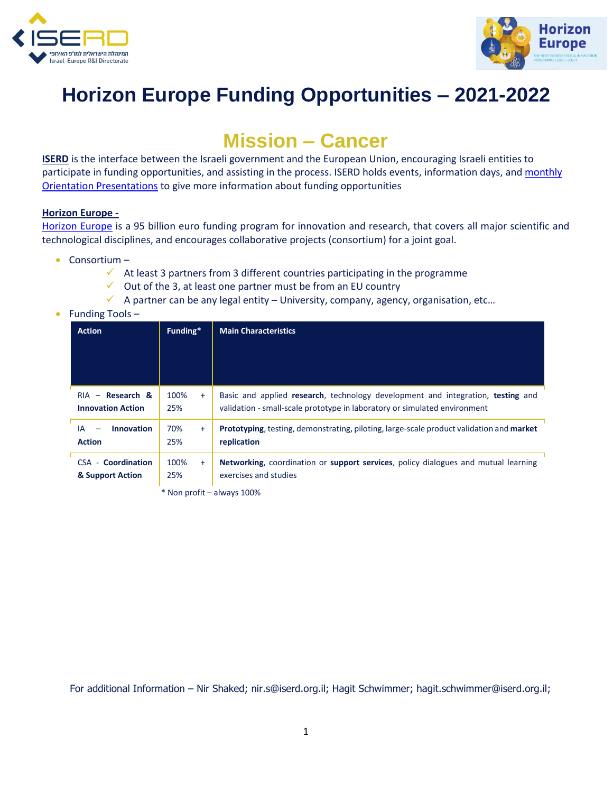



## **Horizon Europe Funding Opportunities – 2021-2022**

## **Mission – Cancer**

**ISERD** is the interface between the Israeli government and the European Union, encouraging Israeli entities to participate in funding opportunities, and assisting in the process. ISERD holds events, information days, and [monthly](https://www.innovationisrael.org.il/ISERD/page/news-events)  [Orientation Presentations](https://www.innovationisrael.org.il/ISERD/page/news-events) to give more information about funding opportunities

## **Horizon Europe -**

[Horizon Europe](https://ec.europa.eu/info/horizon-europe_en) is a 95 billion euro funding program for innovation and research, that covers all major scientific and technological disciplines, and encourages collaborative projects (consortium) for a joint goal.

- Consortium
	- $\checkmark$  At least 3 partners from 3 different countries participating in the programme
	- $\checkmark$  Out of the 3, at least one partner must be from an EU country
	- $\checkmark$  A partner can be any legal entity University, company, agency, organisation, etc...
- Funding Tools -

| <b>Action</b>                                  | Funding*           | <b>Main Characteristics</b>                                                                                                                                  |  |  |  |
|------------------------------------------------|--------------------|--------------------------------------------------------------------------------------------------------------------------------------------------------------|--|--|--|
|                                                |                    |                                                                                                                                                              |  |  |  |
|                                                |                    |                                                                                                                                                              |  |  |  |
| $RIA - Research &$<br><b>Innovation Action</b> | 100%<br>$+$<br>25% | Basic and applied research, technology development and integration, testing and<br>validation - small-scale prototype in laboratory or simulated environment |  |  |  |
| <b>Innovation</b><br>IA<br><b>Action</b>       | 70%<br>$+$<br>25%  | <b>Prototyping, testing, demonstrating, piloting, large-scale product validation and market</b><br>replication                                               |  |  |  |
| CSA - Coordination<br>& Support Action         | 100%<br>$+$<br>25% | <b>Networking, coordination or support services, policy dialogues and mutual learning</b><br>exercises and studies                                           |  |  |  |

\* Non profit – always 100%

For additional Information – Nir Shaked; [nir.s@iserd.org.il;](mailto:nir.s@iserd.org.il) Hagit Schwimmer; [hagit.schwimmer@iserd.org.il;](mailto:hagit.schwimmer@iserd.org.il)